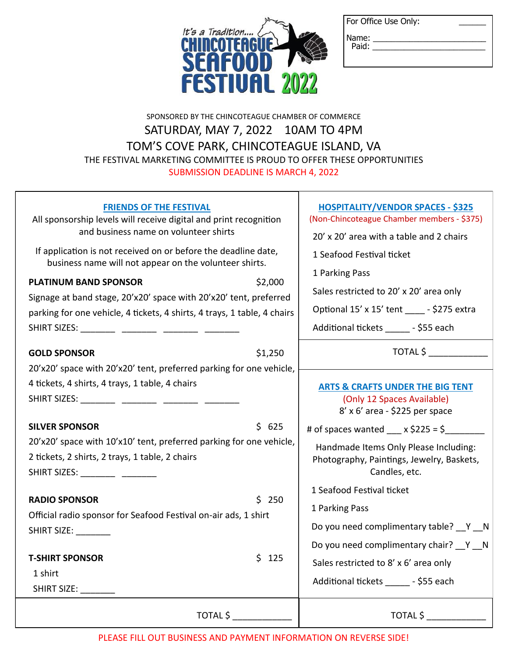| For Office Use Only: |  |
|----------------------|--|
|----------------------|--|



|                | . <i>.</i> . |  |
|----------------|--------------|--|
| Name:<br>Paid: |              |  |
|                |              |  |
|                |              |  |
|                |              |  |

## SPONSORED BY THE CHINCOTEAGUE CHAMBER OF COMMERCE SATURDAY, MAY 7, 2022 10AM TO 4PM TOM'S COVE PARK, CHINCOTEAGUE ISLAND, VA THE FESTIVAL MARKETING COMMITTEE IS PROUD TO OFFER THESE OPPORTUNITIES SUBMISSION DEADLINE IS MARCH 4, 2022

| <b>FRIENDS OF THE FESTIVAL</b><br>All sponsorship levels will receive digital and print recognition<br>and business name on volunteer shirts<br>If application is not received on or before the deadline date,<br>business name will not appear on the volunteer shirts.<br>\$2,000<br><b>PLATINUM BAND SPONSOR</b><br>Signage at band stage, 20'x20' space with 20'x20' tent, preferred<br>parking for one vehicle, 4 tickets, 4 shirts, 4 trays, 1 table, 4 chairs | <b>HOSPITALITY/VENDOR SPACES - \$325</b><br>(Non-Chincoteague Chamber members - \$375)<br>20' x 20' area with a table and 2 chairs<br>1 Seafood Festival ticket<br>1 Parking Pass<br>Sales restricted to 20' x 20' area only<br>Optional 15' x 15' tent _____ - \$275 extra<br>Additional tickets _______ - \$55 each |
|----------------------------------------------------------------------------------------------------------------------------------------------------------------------------------------------------------------------------------------------------------------------------------------------------------------------------------------------------------------------------------------------------------------------------------------------------------------------|-----------------------------------------------------------------------------------------------------------------------------------------------------------------------------------------------------------------------------------------------------------------------------------------------------------------------|
| <b>GOLD SPONSOR</b><br>\$1,250                                                                                                                                                                                                                                                                                                                                                                                                                                       | TOTAL \$                                                                                                                                                                                                                                                                                                              |
| 20'x20' space with 20'x20' tent, preferred parking for one vehicle,                                                                                                                                                                                                                                                                                                                                                                                                  |                                                                                                                                                                                                                                                                                                                       |
| 4 tickets, 4 shirts, 4 trays, 1 table, 4 chairs                                                                                                                                                                                                                                                                                                                                                                                                                      | <b>ARTS &amp; CRAFTS UNDER THE BIG TENT</b>                                                                                                                                                                                                                                                                           |
| SHIRT SIZES: ________ ________ ________ _______                                                                                                                                                                                                                                                                                                                                                                                                                      | (Only 12 Spaces Available)                                                                                                                                                                                                                                                                                            |
|                                                                                                                                                                                                                                                                                                                                                                                                                                                                      | $8' \times 6'$ area - \$225 per space                                                                                                                                                                                                                                                                                 |
| <b>SILVER SPONSOR</b><br>\$625                                                                                                                                                                                                                                                                                                                                                                                                                                       | # of spaces wanted $\angle x$ \$225 = \$                                                                                                                                                                                                                                                                              |
| 20'x20' space with 10'x10' tent, preferred parking for one vehicle,                                                                                                                                                                                                                                                                                                                                                                                                  | Handmade Items Only Please Including:                                                                                                                                                                                                                                                                                 |
| 2 tickets, 2 shirts, 2 trays, 1 table, 2 chairs<br>SHIRT SIZES: __________ ________                                                                                                                                                                                                                                                                                                                                                                                  | Photography, Paintings, Jewelry, Baskets,<br>Candles, etc.                                                                                                                                                                                                                                                            |
|                                                                                                                                                                                                                                                                                                                                                                                                                                                                      | 1 Seafood Festival ticket                                                                                                                                                                                                                                                                                             |
| <b>RADIO SPONSOR</b><br>\$ 250                                                                                                                                                                                                                                                                                                                                                                                                                                       | 1 Parking Pass                                                                                                                                                                                                                                                                                                        |
| Official radio sponsor for Seafood Festival on-air ads, 1 shirt                                                                                                                                                                                                                                                                                                                                                                                                      |                                                                                                                                                                                                                                                                                                                       |
| SHIRT SIZE: ________                                                                                                                                                                                                                                                                                                                                                                                                                                                 | Do you need complimentary table? __ Y __ N                                                                                                                                                                                                                                                                            |
|                                                                                                                                                                                                                                                                                                                                                                                                                                                                      | Do you need complimentary chair? Y N                                                                                                                                                                                                                                                                                  |
| \$125<br><b>T-SHIRT SPONSOR</b><br>1 shirt                                                                                                                                                                                                                                                                                                                                                                                                                           | Sales restricted to 8' x 6' area only                                                                                                                                                                                                                                                                                 |
| SHIRT SIZE: ________                                                                                                                                                                                                                                                                                                                                                                                                                                                 | Additional tickets _______ - \$55 each                                                                                                                                                                                                                                                                                |
| TOTAL \$                                                                                                                                                                                                                                                                                                                                                                                                                                                             | TOTAL \$                                                                                                                                                                                                                                                                                                              |